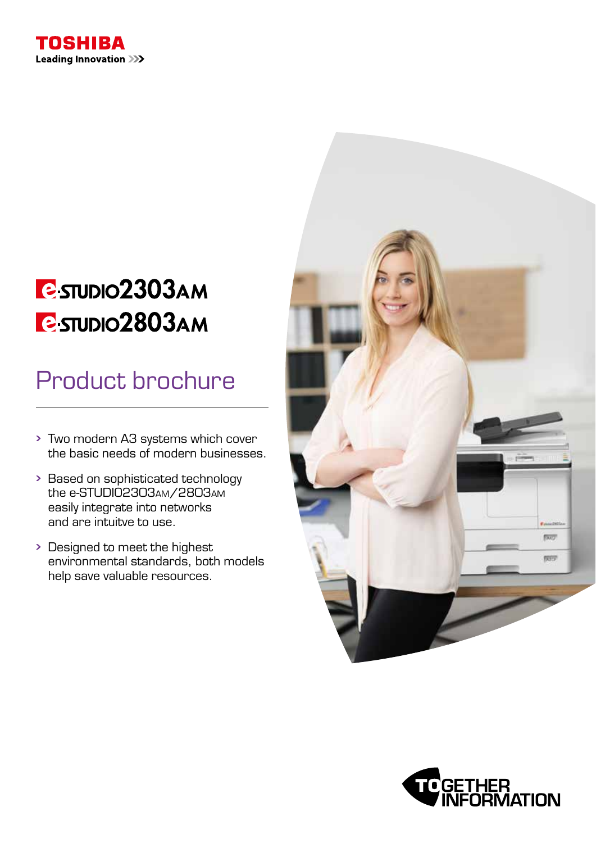

# **B**-STUDIO2303AM **C-STUDIO2803AM**

# Product brochure

- Two modern A3 systems which cover the basic needs of modern businesses.
- Based on sophisticated technology the e-STUDIO2303am/2803am easily integrate into networks and are intuitve to use.
- Designed to meet the highest environmental standards, both models help save valuable resources.



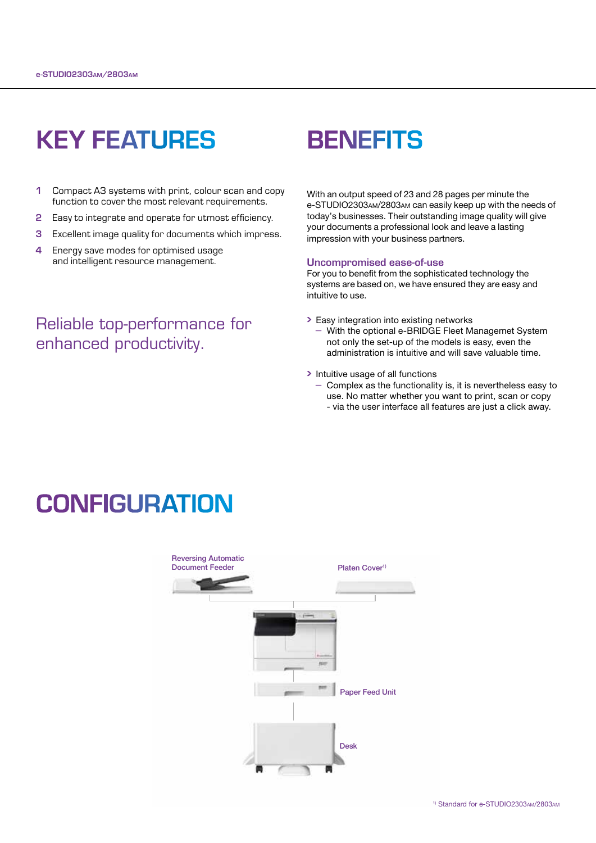## KEY FEATURES

- 1 Compact A3 systems with print, colour scan and copy function to cover the most relevant requirements.
- **2** Easy to integrate and operate for utmost efficiency.
- **3** Excellent image quality for documents which impress.
- 4 Energy save modes for optimised usage and intelligent resource management.

### Reliable top-performance for enhanced productivity.

### **BENEFITS**

With an output speed of 23 and 28 pages per minute the e-STUDIO2303am/2803am can easily keep up with the needs of today's businesses. Their outstanding image quality will give your documents a professional look and leave a lasting impression with your business partners.

#### Uncompromised ease-of-use

For you to benefit from the sophisticated technology the systems are based on, we have ensured they are easy and intuitive to use.

- Easy integration into existing networks
	- With the optional e-BRIDGE Fleet Managemet System not only the set-up of the models is easy, even the administration is intuitive and will save valuable time.
- > Intuitive usage of all functions
	- Complex as the functionality is, it is nevertheless easy to use. No matter whether you want to print, scan or copy - via the user interface all features are just a click away.

### **CONFIGURATION**

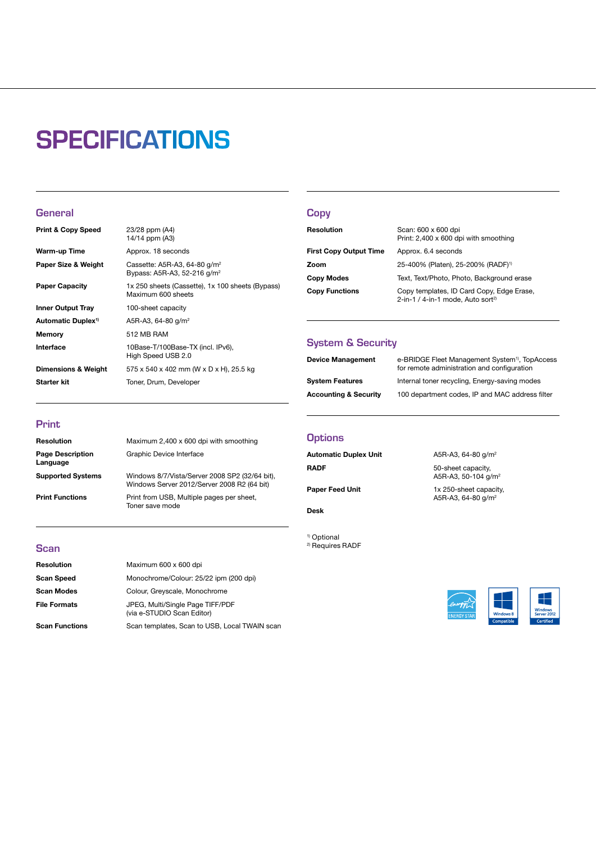## **SPECIFICATIONS**

#### **General**

| <b>Print &amp; Copy Speed</b>  | 23/28 ppm (A4)<br>14/14 ppm (A3)                                           |
|--------------------------------|----------------------------------------------------------------------------|
| Warm-up Time                   | Approx. 18 seconds                                                         |
| Paper Size & Weight            | Cassette: A5R-A3, 64-80 $q/m^2$<br>Bypass: A5R-A3, 52-216 g/m <sup>2</sup> |
| <b>Paper Capacity</b>          | 1x 250 sheets (Cassette), 1x 100 sheets (Bypass)<br>Maximum 600 sheets     |
| <b>Inner Output Tray</b>       | 100-sheet capacity                                                         |
| Automatic Duplex <sup>1)</sup> | A5R-A3, 64-80 g/m <sup>2</sup>                                             |
| <b>Memory</b>                  | 512 MB RAM                                                                 |
| Interface                      | 10Base-T/100Base-TX (incl. IPv6),<br>High Speed USB 2.0                    |
| Dimensions & Weight            | 575 x 540 x 402 mm (W x D x H), 25.5 kg                                    |
| Starter kit                    | Toner, Drum, Developer                                                     |
|                                |                                                                            |

#### **Copy**

| Resolution                    | Scan: 600 x 600 dpi<br>Print: 2,400 x 600 dpi with smoothing                               |
|-------------------------------|--------------------------------------------------------------------------------------------|
| <b>First Copy Output Time</b> | Approx. 6.4 seconds                                                                        |
| Zoom                          | 25-400% (Platen), 25-200% (RADF) <sup>1)</sup>                                             |
| Copy Modes                    | Text, Text/Photo, Photo, Background erase                                                  |
| <b>Copy Functions</b>         | Copy templates, ID Card Copy, Edge Erase,<br>2-in-1 / 4-in-1 mode, Auto sort <sup>2)</sup> |

#### System & Security

| <b>Device Management</b>         | e-BRIDGE Fleet Management System <sup>1)</sup> , TopAccess<br>for remote administration and configuration |
|----------------------------------|-----------------------------------------------------------------------------------------------------------|
| <b>System Features</b>           | Internal toner recycling, Energy-saving modes                                                             |
| <b>Accounting &amp; Security</b> | 100 department codes, IP and MAC address filter                                                           |

#### Print

| <b>Resolution</b>                   | Maximum 2,400 x 600 dpi with smoothing                                                        |
|-------------------------------------|-----------------------------------------------------------------------------------------------|
| <b>Page Description</b><br>Language | Graphic Device Interface                                                                      |
| <b>Supported Systems</b>            | Windows 8/7/Vista/Server 2008 SP2 (32/64 bit),<br>Windows Server 2012/Server 2008 R2 (64 bit) |
| <b>Print Functions</b>              | Print from USB, Multiple pages per sheet,<br>Toner save mode                                  |

#### **Scan**

| Resolution            | Maximum 600 x 600 dpi                                          |
|-----------------------|----------------------------------------------------------------|
| <b>Scan Speed</b>     | Monochrome/Colour: 25/22 ipm (200 dpi)                         |
| <b>Scan Modes</b>     | Colour, Greyscale, Monochrome                                  |
| <b>File Formats</b>   | JPEG, Multi/Single Page TIFF/PDF<br>(via e-STUDIO Scan Editor) |
| <b>Scan Functions</b> | Scan templates, Scan to USB, Local TWAIN scan                  |

#### **Options**

Automatic Duplex Unit A5R-A3, 64-80 g/m<sup>2</sup> RADF 50-sheet capacity,

#### Desk

1) Optional 2) Requires RADF

A5R-A3, 50-104 g/m<sup>2</sup> Paper Feed Unit 1x 250-sheet capacity, A5R-A3, 64-80 g/m<sup>2</sup>

#### EF.  $\frac{2}{\sqrt{2}}$ Windows<br>Server 2012